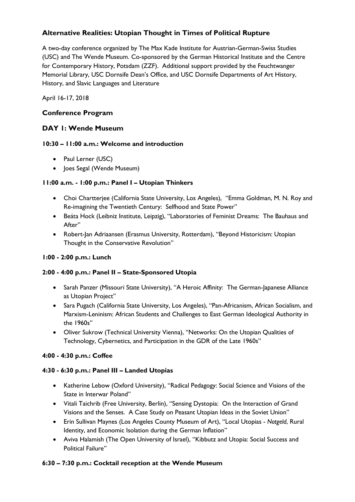## **Alternative Realities: Utopian Thought in Times of Political Rupture**

A two-day conference organized by The Max Kade Institute for Austrian-German-Swiss Studies (USC) and The Wende Museum. Co-sponsored by the German Historical Institute and the Centre for Contemporary History, Potsdam (ZZF). Additional support provided by the Feuchtwanger Memorial Library, USC Dornsife Dean's Office, and USC Dornsife Departments of Art History, History, and Slavic Languages and Literature

April 16-17, 2018

## **Conference Program**

## **DAY 1: Wende Museum**

### **10:30 – 11:00 a.m.: Welcome and introduction**

- Paul Lerner (USC)
- Joes Segal (Wende Museum)

## **11:00 a.m. - 1:00 p.m.: Panel I – Utopian Thinkers**

- Choi Chartterjee (California State University, Los Angeles), "Emma Goldman, M. N. Roy and Re-imagining the Twentieth Century: Selfhood and State Power"
- Beáta Hock (Leibniz Institute, Leipzig), "Laboratories of Feminist Dreams: The Bauhaus and After"
- Robert-Jan Adriaansen (Erasmus University, Rotterdam), "Beyond Historicism: Utopian Thought in the Conservative Revolution"

## **1:00 - 2:00 p.m.: Lunch**

## **2:00 - 4:00 p.m.: Panel II – State-Sponsored Utopia**

- Sarah Panzer (Missouri State University), "A Heroic Affinity: The German-Japanese Alliance as Utopian Project"
- Sara Pugach (California State University, Los Angeles), "Pan-Africanism, African Socialism, and Marxism-Leninism: African Students and Challenges to East German Ideological Authority in the 1960s"
- Oliver Sukrow (Technical University Vienna), "Networks: On the Utopian Qualities of Technology, Cybernetics, and Participation in the GDR of the Late 1960s"

## **4:00 - 4:30 p.m.: Coffee**

### **4:30 - 6:30 p.m.: Panel III – Landed Utopias**

- Katherine Lebow (Oxford University), "Radical Pedagogy: Social Science and Visions of the State in Interwar Poland"
- Vitali Taichrib (Free University, Berlin), "Sensing Dystopia: On the Interaction of Grand Visions and the Senses. A Case Study on Peasant Utopian Ideas in the Soviet Union"
- Erin Sullivan Maynes (Los Angeles County Museum of Art), "Local Utopias *Notgeld*, Rural Identity, and Economic Isolation during the German Inflation"
- Aviva Halamish (The Open University of Israel), "Kibbutz and Utopia: Social Success and Political Failure"

### **6:30 – 7:30 p.m.: Cocktail reception at the Wende Museum**